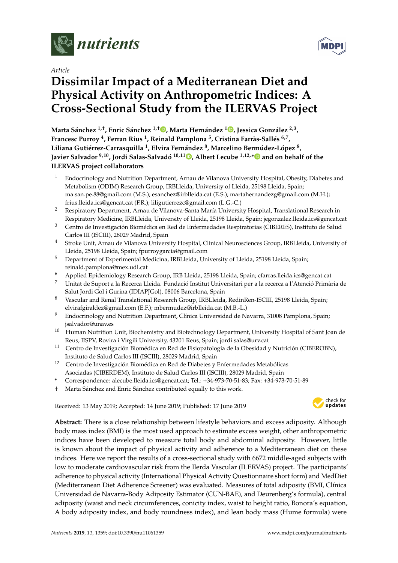

*Article*

# **Dissimilar Impact of a Mediterranean Diet and Physical Activity on Anthropometric Indices: A Cross-Sectional Study from the ILERVAS Project**

**Marta Sánchez 1,**† **, Enric Sánchez 1,**† **[,](https://orcid.org/0000-0001-7345-1601) Marta Hernández [1](https://orcid.org/0000-0003-1237-298X) , Jessica González 2,3 , Francesc Purroy <sup>4</sup> , Ferran Rius <sup>1</sup> , Reinald Pamplona <sup>5</sup> , Cristina Farràs-Sallés 6,7 , Liliana Gutiérrez-Carrasquilla <sup>1</sup> , Elvira Fernández <sup>8</sup> , Marcelino Bermúdez-López <sup>8</sup> , Javier Salvador 9,10, Jordi Salas-Salvadó 10,11 [,](https://orcid.org/0000-0003-2700-7459) Albert Lecube 1,12,[\\*](https://orcid.org/0000-0001-9684-0183) and on behalf of the ILERVAS project collaborators**

- <sup>1</sup> Endocrinology and Nutrition Department, Arnau de Vilanova University Hospital, Obesity, Diabetes and Metabolism (ODIM) Research Group, IRBLleida, University of Lleida, 25198 Lleida, Spain; ma.san.pe.88@gmail.com (M.S.); esanchez@irblleida.cat (E.S.); martahernandezg@gmail.com (M.H.); frius.lleida.ics@gencat.cat (F.R.); liligutierrezc@gmail.com (L.G.-C.)
- <sup>2</sup> Respiratory Department, Arnau de Vilanova-Santa María University Hospital, Translational Research in Respiratory Medicine, IRBLleida, University of Lleida, 25198 Lleida, Spain; jegonzalez.lleida.ics@gencat.cat
- <sup>3</sup> Centro de Investigación Biomédica en Red de Enfermedades Respiratorias (CIBERES), Instituto de Salud Carlos III (ISCIII), 28029 Madrid, Spain
- <sup>4</sup> Stroke Unit, Arnau de Vilanova University Hospital, Clinical Neurosciences Group, IRBLleida, University of Lleida, 25198 Lleida, Spain; fpurroygarcia@gmail.com
- <sup>5</sup> Department of Experimental Medicina, IRBLleida, University of Lleida, 25198 Lleida, Spain; reinald.pamplona@mex.udl.cat
- <sup>6</sup> Applied Epidemiology Research Group, IRB Lleida, 25198 Lleida, Spain; cfarras.lleida.ics@gencat.cat
- <sup>7</sup> Unitat de Suport a la Recerca Lleida. Fundació Institut Universitari per a la recerca a l'Atenció Primària de Salut Jordi Gol i Gurina (IDIAPJGol), 08006 Barcelona, Spain
- <sup>8</sup> Vascular and Renal Translational Research Group, IRBLleida, RedinRen-ISCIII, 25198 Lleida, Spain; elvirafgiraldez@gmail.com (E.F.); mbermudez@irblleida.cat (M.B.-L.)
- <sup>9</sup> Endocrinology and Nutrition Department, Clínica Universidad de Navarra, 31008 Pamplona, Spain; jsalvador@unav.es
- <sup>10</sup> Human Nutrition Unit, Biochemistry and Biotechnology Department, University Hospital of Sant Joan de Reus, IISPV, Rovira i Virgili University, 43201 Reus, Spain; jordi.salas@urv.cat
- <sup>11</sup> Centro de Investigación Biomédica en Red de Fisiopatología de la Obesidad y Nutrición (CIBEROBN), Instituto de Salud Carlos III (ISCIII), 28029 Madrid, Spain
- <sup>12</sup> Centro de Investigación Biomédica en Red de Diabetes y Enfermedades Metabólicas Asociadas (CIBERDEM), Instituto de Salud Carlos III (ISCIII), 28029 Madrid, Spain
- **\*** Correspondence: alecube.lleida.ics@gencat.cat; Tel.: +34-973-70-51-83; Fax: +34-973-70-51-89
- † Marta Sánchez and Enric Sánchez contributed equally to this work.

Received: 13 May 2019; Accepted: 14 June 2019; Published: 17 June 2019 -



**Abstract:** There is a close relationship between lifestyle behaviors and excess adiposity. Although body mass index (BMI) is the most used approach to estimate excess weight, other anthropometric indices have been developed to measure total body and abdominal adiposity. However, little is known about the impact of physical activity and adherence to a Mediterranean diet on these indices. Here we report the results of a cross-sectional study with 6672 middle-aged subjects with low to moderate cardiovascular risk from the Ilerda Vascular (ILERVAS) project. The participants' adherence to physical activity (International Physical Activity Questionnaire short form) and MedDiet (Mediterranean Diet Adherence Screener) was evaluated. Measures of total adiposity (BMI, Clínica Universidad de Navarra-Body Adiposity Estimator (CUN-BAE), and Deurenberg's formula), central adiposity (waist and neck circumferences, conicity index, waist to height ratio, Bonora's equation, A body adiposity index, and body roundness index), and lean body mass (Hume formula) were

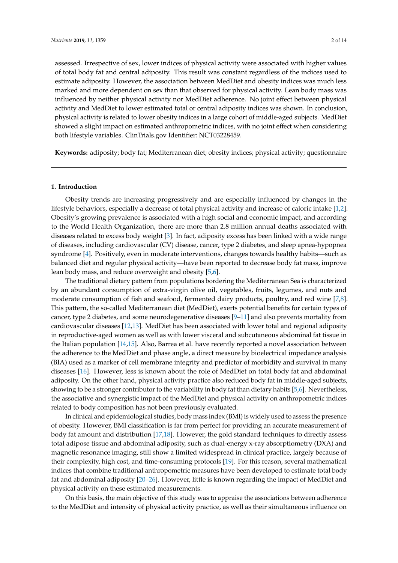assessed. Irrespective of sex, lower indices of physical activity were associated with higher values of total body fat and central adiposity. This result was constant regardless of the indices used to estimate adiposity. However, the association between MedDiet and obesity indices was much less marked and more dependent on sex than that observed for physical activity. Lean body mass was influenced by neither physical activity nor MedDiet adherence. No joint effect between physical activity and MedDiet to lower estimated total or central adiposity indices was shown. In conclusion, physical activity is related to lower obesity indices in a large cohort of middle-aged subjects. MedDiet showed a slight impact on estimated anthropometric indices, with no joint effect when considering both lifestyle variables. ClinTrials.gov Identifier: NCT03228459.

**Keywords:** adiposity; body fat; Mediterranean diet; obesity indices; physical activity; questionnaire

#### **1. Introduction**

Obesity trends are increasing progressively and are especially influenced by changes in the lifestyle behaviors, especially a decrease of total physical activity and increase of caloric intake [\[1,](#page-10-0)[2\]](#page-10-1). Obesity's growing prevalence is associated with a high social and economic impact, and according to the World Health Organization, there are more than 2.8 million annual deaths associated with diseases related to excess body weight [\[3\]](#page-10-2). In fact, adiposity excess has been linked with a wide range of diseases, including cardiovascular (CV) disease, cancer, type 2 diabetes, and sleep apnea-hypopnea syndrome [\[4\]](#page-10-3). Positively, even in moderate interventions, changes towards healthy habits—such as balanced diet and regular physical activity—have been reported to decrease body fat mass, improve lean body mass, and reduce overweight and obesity [\[5,](#page-10-4)[6\]](#page-10-5).

The traditional dietary pattern from populations bordering the Mediterranean Sea is characterized by an abundant consumption of extra-virgin olive oil, vegetables, fruits, legumes, and nuts and moderate consumption of fish and seafood, fermented dairy products, poultry, and red wine [\[7,](#page-10-6)[8\]](#page-10-7). This pattern, the so-called Mediterranean diet (MedDiet), exerts potential benefits for certain types of cancer, type 2 diabetes, and some neurodegenerative diseases [\[9–](#page-10-8)[11\]](#page-11-0) and also prevents mortality from cardiovascular diseases [\[12,](#page-11-1)[13\]](#page-11-2). MedDiet has been associated with lower total and regional adiposity in reproductive-aged women as well as with lower visceral and subcutaneous abdominal fat tissue in the Italian population [\[14](#page-11-3)[,15\]](#page-11-4). Also, Barrea et al. have recently reported a novel association between the adherence to the MedDiet and phase angle, a direct measure by bioelectrical impedance analysis (BIA) used as a marker of cell membrane integrity and predictor of morbidity and survival in many diseases [\[16\]](#page-11-5). However, less is known about the role of MedDiet on total body fat and abdominal adiposity. On the other hand, physical activity practice also reduced body fat in middle-aged subjects, showing to be a stronger contributor to the variability in body fat than dietary habits [\[5](#page-10-4)[,6\]](#page-10-5). Nevertheless, the associative and synergistic impact of the MedDiet and physical activity on anthropometric indices related to body composition has not been previously evaluated.

In clinical and epidemiological studies, body mass index (BMI) is widely used to assess the presence of obesity. However, BMI classification is far from perfect for providing an accurate measurement of body fat amount and distribution [\[17](#page-11-6)[,18\]](#page-11-7). However, the gold standard techniques to directly assess total adipose tissue and abdominal adiposity, such as dual-energy x-ray absorptiometry (DXA) and magnetic resonance imaging, still show a limited widespread in clinical practice, largely because of their complexity, high cost, and time-consuming protocols [\[19\]](#page-11-8). For this reason, several mathematical indices that combine traditional anthropometric measures have been developed to estimate total body fat and abdominal adiposity [\[20–](#page-11-9)[26\]](#page-11-10). However, little is known regarding the impact of MedDiet and physical activity on these estimated measurements.

On this basis, the main objective of this study was to appraise the associations between adherence to the MedDiet and intensity of physical activity practice, as well as their simultaneous influence on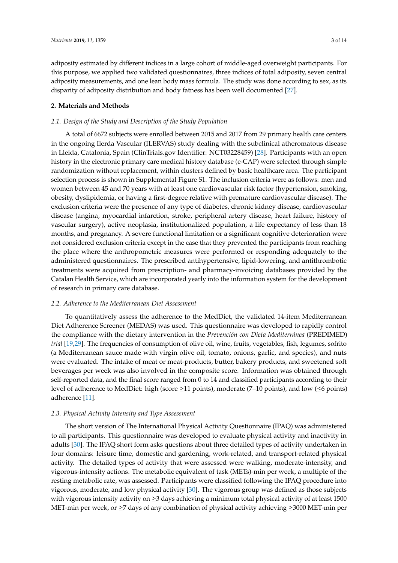adiposity estimated by different indices in a large cohort of middle-aged overweight participants. For this purpose, we applied two validated questionnaires, three indices of total adiposity, seven central adiposity measurements, and one lean body mass formula. The study was done according to sex, as its disparity of adiposity distribution and body fatness has been well documented [\[27\]](#page-11-11).

## **2. Materials and Methods**

#### *2.1. Design of the Study and Description of the Study Population*

A total of 6672 subjects were enrolled between 2015 and 2017 from 29 primary health care centers in the ongoing Ilerda Vascular (ILERVAS) study dealing with the subclinical atheromatous disease in Lleida, Catalonia, Spain (ClinTrials.gov Identifier: NCT03228459) [\[28\]](#page-11-12). Participants with an open history in the electronic primary care medical history database (e-CAP) were selected through simple randomization without replacement, within clusters defined by basic healthcare area. The participant selection process is shown in Supplemental Figure S1. The inclusion criteria were as follows: men and women between 45 and 70 years with at least one cardiovascular risk factor (hypertension, smoking, obesity, dyslipidemia, or having a first-degree relative with premature cardiovascular disease). The exclusion criteria were the presence of any type of diabetes, chronic kidney disease, cardiovascular disease (angina, myocardial infarction, stroke, peripheral artery disease, heart failure, history of vascular surgery), active neoplasia, institutionalized population, a life expectancy of less than 18 months, and pregnancy. A severe functional limitation or a significant cognitive deterioration were not considered exclusion criteria except in the case that they prevented the participants from reaching the place where the anthropometric measures were performed or responding adequately to the administered questionnaires. The prescribed antihypertensive, lipid-lowering, and antithrombotic treatments were acquired from prescription- and pharmacy-invoicing databases provided by the Catalan Health Service, which are incorporated yearly into the information system for the development of research in primary care database.

#### *2.2. Adherence to the Mediterranean Diet Assessment*

To quantitatively assess the adherence to the MedDiet, the validated 14-item Mediterranean Diet Adherence Screener (MEDAS) was used. This questionnaire was developed to rapidly control the compliance with the dietary intervention in the *Prevención con Dieta Mediterránea* (PREDIMED) *trial* [\[19,](#page-11-8)[29\]](#page-12-0). The frequencies of consumption of olive oil, wine, fruits, vegetables, fish, legumes, sofrito (a Mediterranean sauce made with virgin olive oil, tomato, onions, garlic, and species), and nuts were evaluated. The intake of meat or meat-products, butter, bakery products, and sweetened soft beverages per week was also involved in the composite score. Information was obtained through self-reported data, and the final score ranged from 0 to 14 and classified participants according to their level of adherence to MedDiet: high (score ≥11 points), moderate (7–10 points), and low (≤6 points) adherence [\[11\]](#page-11-0).

#### *2.3. Physical Activity Intensity and Type Assessment*

The short version of The International Physical Activity Questionnaire (IPAQ) was administered to all participants. This questionnaire was developed to evaluate physical activity and inactivity in adults [\[30\]](#page-12-1). The IPAQ short form asks questions about three detailed types of activity undertaken in four domains: leisure time, domestic and gardening, work-related, and transport-related physical activity. The detailed types of activity that were assessed were walking, moderate-intensity, and vigorous-intensity actions. The metabolic equivalent of task (METs)-min per week, a multiple of the resting metabolic rate, was assessed. Participants were classified following the IPAQ procedure into vigorous, moderate, and low physical activity [\[30\]](#page-12-1). The vigorous group was defined as those subjects with vigorous intensity activity on ≥3 days achieving a minimum total physical activity of at least 1500 MET-min per week, or ≥7 days of any combination of physical activity achieving ≥3000 MET-min per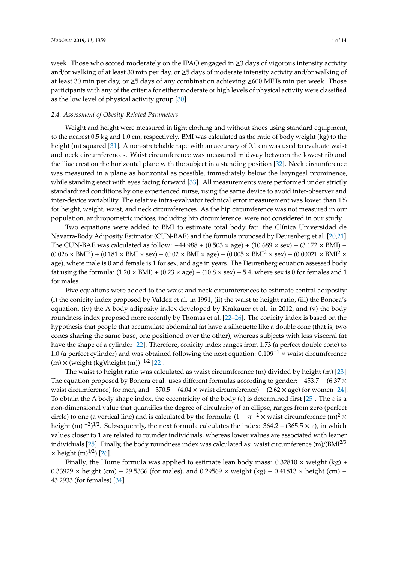week. Those who scored moderately on the IPAQ engaged in ≥3 days of vigorous intensity activity and/or walking of at least 30 min per day, or ≥5 days of moderate intensity activity and/or walking of at least 30 min per day, or ≥5 days of any combination achieving ≥600 METs min per week. Those participants with any of the criteria for either moderate or high levels of physical activity were classified as the low level of physical activity group [\[30\]](#page-12-1).

#### *2.4. Assessment of Obesity-Related Parameters*

Weight and height were measured in light clothing and without shoes using standard equipment, to the nearest 0.5 kg and 1.0 cm, respectively. BMI was calculated as the ratio of body weight (kg) to the height (m) squared [\[31\]](#page-12-2). A non-stretchable tape with an accuracy of 0.1 cm was used to evaluate waist and neck circumferences. Waist circumference was measured midway between the lowest rib and the iliac crest on the horizontal plane with the subject in a standing position [\[32\]](#page-12-3). Neck circumference was measured in a plane as horizontal as possible, immediately below the laryngeal prominence, while standing erect with eyes facing forward [\[33\]](#page-12-4). All measurements were performed under strictly standardized conditions by one experienced nurse, using the same device to avoid inter-observer and inter-device variability. The relative intra-evaluator technical error measurement was lower than 1% for height, weight, waist, and neck circumferences. As the hip circumference was not measured in our population, anthropometric indices, including hip circumference, were not considered in our study.

Two equations were added to BMI to estimate total body fat: the Clínica Universidad de Navarra-Body Adiposity Estimator (CUN-BAE) and the formula proposed by Deurenberg et al. [\[20](#page-11-9)[,21\]](#page-11-13). The CUN-BAE was calculated as follow:  $-44.988 + (0.503 \times age) + (10.689 \times sex) + (3.172 \times BMI) (0.026 \times \text{BMI}^2) + (0.181 \times \text{BMI} \times \text{sex}) - (0.02 \times \text{BMI} \times \text{age}) - (0.005 \times \text{BMI}^2 \times \text{sex}) + (0.00021 \times \text{BMI}^2 \times \text{S}^2)$ age), where male is 0 and female is 1 for sex, and age in years. The Deurenberg equation assessed body fat using the formula:  $(1.20 \times BMI) + (0.23 \times age) - (10.8 \times sex) - 5.4$ , where sex is 0 for females and 1 for males.

Five equations were added to the waist and neck circumferences to estimate central adiposity: (i) the conicity index proposed by Valdez et al. in 1991, (ii) the waist to height ratio, (iii) the Bonora's equation, (iv) the A body adiposity index developed by Krakauer et al. in 2012, and (v) the body roundness index proposed more recently by Thomas et al. [\[22](#page-11-14)[–26\]](#page-11-10). The conicity index is based on the hypothesis that people that accumulate abdominal fat have a silhouette like a double cone (that is, two cones sharing the same base, one positioned over the other), whereas subjects with less visceral fat have the shape of a cylinder [\[22\]](#page-11-14). Therefore, conicity index ranges from 1.73 (a perfect double cone) to 1.0 (a perfect cylinder) and was obtained following the next equation:  $0.109^{-1} \times$  waist circumference (m) × (weight (kg)/height (m))−1/<sup>2</sup> [\[22\]](#page-11-14).

The waist to height ratio was calculated as waist circumference (m) divided by height (m) [\[23\]](#page-11-15). The equation proposed by Bonora et al. uses different formulas according to gender: −453.7 + (6.37 × waist circumference) for men, and  $-370.5 + (4.04 \times \text{waist circumference}) + (2.62 \times \text{age})$  for women [\[24\]](#page-11-16). To obtain the A body shape index, the eccentricity of the body  $(\varepsilon)$  is determined first [\[25\]](#page-11-17). The  $\varepsilon$  is a non-dimensional value that quantifies the degree of circularity of an ellipse, ranges from zero (perfect circle) to one (a vertical line) and is calculated by the formula:  $(1 - \pi^{-2} \times \text{waist circumference (m)}^2 \times$ height (m) <sup>-2</sup>)<sup>1/2</sup>. Subsequently, the next formula calculates the index: 364.2 – (365.5 × ε), in which values closer to 1 are related to rounder individuals, whereas lower values are associated with leaner individuals [\[25\]](#page-11-17). Finally, the body roundness index was calculated as: waist circumference  $(m)/(BMI^{2/3})$  $\times$  height (m)<sup>1/2</sup>) [\[26\]](#page-11-10).

Finally, the Hume formula was applied to estimate lean body mass:  $0.32810 \times$  weight (kg) + 0.33929 × height (cm) − 29.5336 (for males), and 0.29569 × weight (kg) + 0.41813 × height (cm) − 43.2933 (for females) [\[34\]](#page-12-5).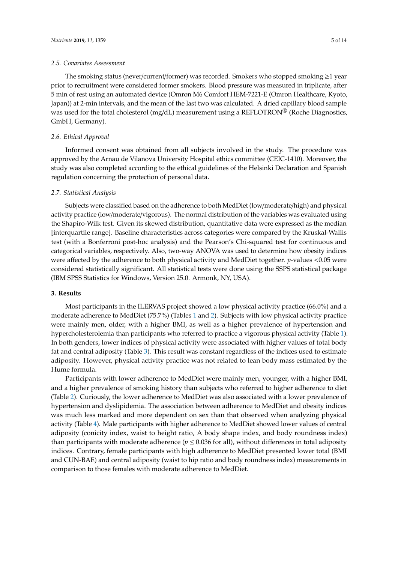The smoking status (never/current/former) was recorded. Smokers who stopped smoking  $\geq 1$  year prior to recruitment were considered former smokers. Blood pressure was measured in triplicate, after 5 min of rest using an automated device (Omron M6 Comfort HEM-7221-E (Omron Healthcare, Kyoto, Japan)) at 2-min intervals, and the mean of the last two was calculated. A dried capillary blood sample was used for the total cholesterol (mg/dL) measurement using a REFLOTRON® (Roche Diagnostics, GmbH, Germany).

## *2.6. Ethical Approval*

Informed consent was obtained from all subjects involved in the study. The procedure was approved by the Arnau de Vilanova University Hospital ethics committee (CEIC-1410). Moreover, the study was also completed according to the ethical guidelines of the Helsinki Declaration and Spanish regulation concerning the protection of personal data.

## *2.7. Statistical Analysis*

Subjects were classified based on the adherence to both MedDiet (low/moderate/high) and physical activity practice (low/moderate/vigorous). The normal distribution of the variables was evaluated using the Shapiro-Wilk test. Given its skewed distribution, quantitative data were expressed as the median [interquartile range]. Baseline characteristics across categories were compared by the Kruskal-Wallis test (with a Bonferroni post-hoc analysis) and the Pearson's Chi-squared test for continuous and categorical variables, respectively. Also, two-way ANOVA was used to determine how obesity indices were affected by the adherence to both physical activity and MedDiet together. *p*-values <0.05 were considered statistically significant. All statistical tests were done using the SSPS statistical package (IBM SPSS Statistics for Windows, Version 25.0. Armonk, NY, USA).

## **3. Results**

Most participants in the ILERVAS project showed a low physical activity practice (66.0%) and a moderate adherence to MedDiet (75.7%) (Tables [1](#page-5-0) and [2\)](#page-5-1). Subjects with low physical activity practice were mainly men, older, with a higher BMI, as well as a higher prevalence of hypertension and hypercholesterolemia than participants who referred to practice a vigorous physical activity (Table [1\)](#page-5-0). In both genders, lower indices of physical activity were associated with higher values of total body fat and central adiposity (Table [3\)](#page-6-0). This result was constant regardless of the indices used to estimate adiposity. However, physical activity practice was not related to lean body mass estimated by the Hume formula.

Participants with lower adherence to MedDiet were mainly men, younger, with a higher BMI, and a higher prevalence of smoking history than subjects who referred to higher adherence to diet (Table [2\)](#page-5-1). Curiously, the lower adherence to MedDiet was also associated with a lower prevalence of hypertension and dyslipidemia. The association between adherence to MedDiet and obesity indices was much less marked and more dependent on sex than that observed when analyzing physical activity (Table [4\)](#page-7-0). Male participants with higher adherence to MedDiet showed lower values of central adiposity (conicity index, waist to height ratio, A body shape index, and body roundness index) than participants with moderate adherence ( $p \leq 0.036$  for all), without differences in total adiposity indices. Contrary, female participants with high adherence to MedDiet presented lower total (BMI and CUN-BAE) and central adiposity (waist to hip ratio and body roundness index) measurements in comparison to those females with moderate adherence to MedDiet.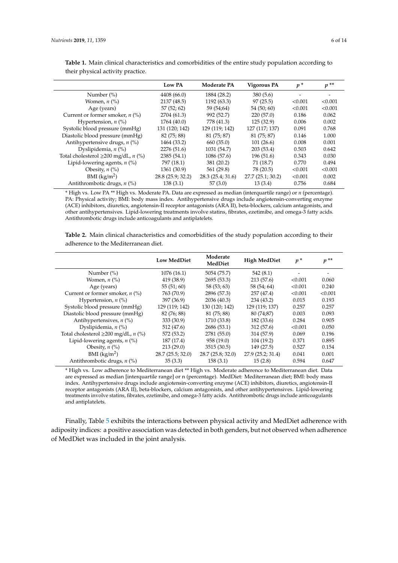|                                                  | Low PA            | <b>Moderate PA</b> | Vigorous PA      | $p^*$   | $p^*$   |
|--------------------------------------------------|-------------------|--------------------|------------------|---------|---------|
| Number $(\%)$                                    | 4408 (66.0)       | 1884 (28.2)        | 380(5.6)         |         |         |
| Women, $n$ $\left(\frac{9}{6}\right)$            | 2137 (48.5)       | 1192 (63.3)        | 97(25.5)         | < 0.001 | < 0.001 |
| Age (years)                                      | 57(52; 62)        | 59 (54;64)         | 54(50;60)        | < 0.001 | < 0.001 |
| Current or former smoker, $n$ (%)                | 2704 (61.3)       | 992 (52.7)         | 220(57.0)        | 0.186   | 0.062   |
| Hypertension, $n$ (%)                            | 1764 (40.0)       | 778 (41.3)         | 125(32.9)        | 0.006   | 0.002   |
| Systolic blood pressure (mmHg)                   | 131 (120; 142)    | 129 (119; 142)     | 127 (117; 137)   | 0.091   | 0.768   |
| Diastolic blood pressure (mmHg)                  | 82 (75; 88)       | 81 (75; 87)        | 81 (75; 87)      | 0.146   | 1.000   |
| Antihypertensive drugs, $n$ (%)                  | 1464 (33.2)       | 660 (35.0)         | 101(26.6)        | 0.008   | 0.001   |
| Dyslipidemia, $n$ (%)                            | 2276 (51.6)       | 1031 (54.7)        | 203 (53.4)       | 0.503   | 0.642   |
| Total cholesterol $\geq$ 200 mg/dL, <i>n</i> (%) | 2385 (54.1)       | 1086 (57.6)        | 196(51.6)        | 0.343   | 0.030   |
| Lipid-lowering agents, $n$ (%)                   | 797 (18.1)        | 381 (20.2)         | 71 (18.7)        | 0.770   | 0.494   |
| Obesity, $n$ (%)                                 | 1361 (30.9)       | 561 (29.8)         | 78 (20.5)        | < 0.001 | < 0.001 |
| $BMI$ (kg/m <sup>2</sup> )                       | 28.8 (25.9; 32.2) | 28.3(25.4; 31.6)   | 27.7(25.1; 30.2) | < 0.001 | 0.002   |
| Antithrombotic drugs, $n$ (%)                    | 138(3.1)          | 57(3.0)            | 13(3.4)          | 0.756   | 0.684   |

<span id="page-5-0"></span>**Table 1.** Main clinical characteristics and comorbidities of the entire study population according to their physical activity practice.

\* High vs. Low PA \*\* High vs. Moderate PA. Data are expressed as median (interquartile range) or *n* (percentage). PA: Physical activity; BMI: body mass index. Antihypertensive drugs include angiotensin-converting enzyme (ACE) inhibitors, diuretics, angiotensin-II receptor antagonists (ARA II), beta-blockers, calcium antagonists, and other antihypertensives. Lipid-lowering treatments involve statins, fibrates, ezetimibe, and omega-3 fatty acids. Antithrombotic drugs include anticoagulants and antiplatelets.

<span id="page-5-1"></span>**Table 2.** Main clinical characteristics and comorbidities of the study population according to their adherence to the Mediterranean diet.

|                                           | <b>Low MedDiet</b> | Moderate<br>MedDiet | <b>High MedDiet</b> | $p^*$                    | $p^{**}$                 |
|-------------------------------------------|--------------------|---------------------|---------------------|--------------------------|--------------------------|
| Number $(\%)$                             | 1076(16.1)         | 5054 (75.7)         | 542(8.1)            | $\overline{\phantom{a}}$ | $\overline{\phantom{a}}$ |
| Women, $n$ $(\%)$                         | 419 (38.9)         | 2695(53.3)          | 213 (57.6)          | < 0.001                  | 0.060                    |
| Age (years)                               | 55(51;60)          | 58(53; 63)          | 58 (54; 64)         | < 0.001                  | 0.240                    |
| Current or former smoker, $n$ (%)         | 763 (70.9)         | 2896 (57.3)         | 257 (47.4)          | < 0.001                  | < 0.001                  |
| Hypertension, $n$ (%)                     | 397 (36.9)         | 2036 (40.3)         | 234 (43.2)          | 0.015                    | 0.193                    |
| Systolic blood pressure (mmHg)            | 129 (119; 142)     | 130 (120; 142)      | 129 (119; 137)      | 0.257                    | 0.257                    |
| Diastolic blood pressure (mmHg)           | 82 (76; 88)        | 81 (75; 88)         | 80 (74;87)          | 0.003                    | 0.093                    |
| Antihypertensives, $n$ (%)                | 333 (30.9)         | 1710 (33.8)         | 182 (33.6)          | 0.284                    | 0.905                    |
| Dyslipidemia, $n$ (%)                     | 512 (47.6)         | 2686 (53.1)         | 312 (57.6)          | < 0.001                  | 0.050                    |
| Total cholesterol $\geq$ 200 mg/dL, n (%) | 572 (53.2)         | 2781 (55.0)         | 314 (57.9)          | 0.069                    | 0.196                    |
| Lipid-lowering agents, $n$ (%)            | 187 (17.4)         | 958 (19.0)          | 104 (19.2)          | 0.371                    | 0.895                    |
| Obesity, $n$ (%)                          | 213(29.0)          | 3515 (30.5)         | 149 (27.5)          | 0.527                    | 0.154                    |
| $BMI$ (kg/m <sup>2</sup> )                | 28.7(25.5; 32.0)   | 28.7(25.8; 32.0)    | 27.9 (25.2; 31.4)   | 0.041                    | 0.001                    |
| Antithrombotic drugs, $n$ (%)             | 35(3.3)            | 158(3.1)            | 15(2.8)             | 0.594                    | 0.647                    |

\* High vs. Low adherence to Mediterranean diet \*\* High vs. Moderate adherence to Mediterranean diet. Data are expressed as median [interquartile range] or n (percentage). MedDiet: Mediterranean diet; BMI: body mass index. Antihypertensive drugs include angiotensin-converting enzyme (ACE) inhibitors, diuretics, angiotensin-II receptor antagonists (ARA II), beta-blockers, calcium antagonists, and other antihypertensives. Lipid-lowering treatments involve statins, fibrates, ezetimibe, and omega-3 fatty acids. Antithrombotic drugs include anticoagulants and antiplatelets.

Finally, Table [5](#page-7-1) exhibits the interactions between physical activity and MedDiet adherence with adiposity indices: a positive association was detected in both genders, but not observed when adherence of MedDiet was included in the joint analysis.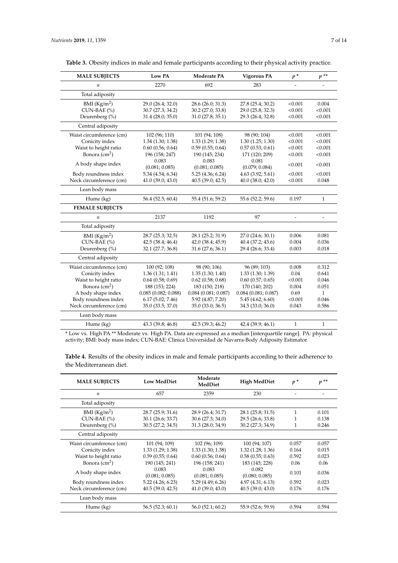<span id="page-6-0"></span>

|  |  | Table 3. Obesity indices in male and female participants according to their physical activity practice. |  |
|--|--|---------------------------------------------------------------------------------------------------------|--|
|  |  |                                                                                                         |  |

| <b>MALE SUBJECTS</b>     | Low PA                | Moderate PA            | <b>Vigorous PA</b>     | $p^*$        | $p^{**}$                 |
|--------------------------|-----------------------|------------------------|------------------------|--------------|--------------------------|
| $\boldsymbol{n}$         | 2270                  | 692                    | 283                    |              |                          |
| Total adiposity          |                       |                        |                        |              |                          |
| BMI $(Kg/m2)$            | 29.0 (26.4; 32.0)     | 28.6 (26.0; 31.3)      | 27.8 (25.4; 30.2)      | < 0.001      | 0.004                    |
| CUN-BAE (%)              | 30.7 (27.3; 34.2)     | 30.2 (27.0; 33.8)      | 29.0 (25.8; 32.3)      | < 0.001      | < 0.001                  |
| Deurenberg (%)           | 31.4 (28.0; 35.0)     | 31.0(27.8; 35.1)       | 29.3 (26.4; 32.8)      | < 0.001      | < 0.001                  |
| Central adiposity        |                       |                        |                        |              |                          |
| Waist circumference (cm) | 102 (96; 110)         | 101 (94; 108)          | 98 (90; 104)           | < 0.001      | < 0.001                  |
| Conicity index           | $1.34$ $(1.30; 1.38)$ | 1.33(1.29; 1.38)       | 1.30(1.25; 1.30)       | < 0.001      | < 0.001                  |
| Waist to height ratio    | 0.60(0.56; 0.64)      | 0.59(0.55; 0.64)       | 0.57(0.53; 0.61)       | < 0.001      | < 0.001                  |
| Bonora $(cm2)$           | 196 (158; 247)        | 190 (145; 234)         | 171 (120; 209)         | < 0.001      | < 0.001                  |
| A body shape index       | 0.083                 | 0.083                  | 0.081                  | < 0.001      | < 0.001                  |
|                          | (0.081; 0.085)        | (0.081; 0.085)         | (0.079; 0.084)         |              |                          |
| Body roundness index     | 5.34 (4.54; 6.34)     | 5.25 (4.36; 6.24)      | 4.63 (3.92; 5.61)      | < 0.001      | < 0.001                  |
| Neck circumference (cm)  | 41.0(39.0; 43.0)      | 40.5(39.0; 42.5)       | $40.0$ $(38.0; 42.0)$  | < 0.001      | 0.048                    |
| Lean body mass           |                       |                        |                        |              |                          |
| Hume (kg)                | 56.4 (52.5; 60.4)     | 55.4 (51.6; 59.2)      | 55.6 (52.2; 59.6)      | 0.197        | $\mathbf{1}$             |
| <b>FEMALE SUBJECTS</b>   |                       |                        |                        |              |                          |
| $\boldsymbol{n}$         | 2137                  | 1192                   | 97                     | ÷,           | $\overline{\phantom{a}}$ |
| Total adiposity          |                       |                        |                        |              |                          |
| BMI $(Kg/m2)$            | 28.7 (25.3; 32.5)     | 28.1 (25.2; 31.9)      | 27.0 (24.6; 30.1)      | 0.006        | 0.081                    |
| CUN-BAE (%)              | 42.5(38.4; 46.4)      | 42.0 (38.4; 45.9)      | 40.4 (37.2; 43.6)      | 0.004        | 0.036                    |
| Deurenberg (%)           | 32.1 (27.7; 36.8)     | 31.6 (27.6; 36.1)      | 29.4 (26.6; 33.4)      | 0.003        | 0.018                    |
| Central adiposity        |                       |                        |                        |              |                          |
| Waist circumference (cm) | 100 (92; 108)         | 98 (90; 106)           | 96 (89; 103)           | 0.008        | 0.312                    |
| Conicity index           | 1.36(1.31; 1.41)      | 1.35(1.30; 1.40)       | 1.33(1.30; 1.39)       | 0.04         | 0.641                    |
| Waist to height ratio    | $0.64$ $(0.58; 0.69)$ | $0.62$ (0.58; 0.68)    | 0.60(0.57; 0.65)       | < 0.001      | 0.046                    |
| Bonora $\text{cm}^2$ )   | 188 (153; 224)        | 183 (150; 218)         | 170 (140; 202)         | 0.004        | 0.051                    |
| A body shape index       | 0.085(0.082; 0.088)   | $0.084$ (0.081; 0.087) | $0.084$ (0.081; 0.087) | 0.69         | $\mathbf{1}$             |
| Body roundness index     | 6.17(5.02; 7.46)      | 5.92 (4.87; 7.20)      | 5.45(4.62; 6.60)       | < 0.001      | 0.046                    |
| Neck circumference (cm)  | 35.0 (33.5; 37.0)     | 35.0 (33.0; 36.5)      | 34.5 (33.0; 36.0)      | 0.043        | 0.586                    |
| Lean body mass           |                       |                        |                        |              |                          |
| Hume (kg)                | 43.3 (39.8; 46.8)     | 42.5 (39.3; 46.2)      | 42.4 (39.9; 46.1)      | $\mathbf{1}$ | $\mathbf{1}$             |

\* Low vs. High PA \*\* Moderate vs. High PA. Data are expressed as a median [interquartile range]. PA: physical activity; BMI: body mass index; CUN-BAE: Clinica Universidad de Navarra-Body Adiposity Estimator.

**Table 4.** Results of the obesity indices in male and female participants according to their adherence to the Mediterranean diet.

| <b>MALE SUBJECTS</b>     | <b>Low MedDiet</b>      | Moderate<br>MedDiet     | <b>High MedDiet</b>     | $p^*$ | $p^{**}$ |
|--------------------------|-------------------------|-------------------------|-------------------------|-------|----------|
| $\boldsymbol{n}$         | 657                     | 2359                    | 230                     |       |          |
| Total adiposity          |                         |                         |                         |       |          |
| BMI $(Kg/m2)$            | 28.7(25.9; 31.6)        | 28.9 (26.4; 31.7)       | 28.1 (25.8; 31.5)       | 1     | 0.101    |
| $CUN-BAE$ (%)            | 30.1 (26.6; 33.7)       | 30.6(27.3; 34.0)        | 29.5 (26.6; 33.8)       | 1     | 0.138    |
| Deurenberg $(\% )$       | 30.5 (27.2; 34.5)       | 31.3 (28.0; 34.9)       | 30.2 (27.3; 34.9)       | 1     | 0.246    |
| Central adiposity        |                         |                         |                         |       |          |
| Waist circumference (cm) | 101 (94; 109)           | 102 (96; 109)           | 100 (94; 107)           | 0.057 | 0.057    |
| Conicity index           | 1.33(1.29; 1.38)        | 1.33(1.30; 1.38)        | 1.32(1.28; 1.36)        | 0.164 | 0.015    |
| Waist to height ratio    | 0.59(0.55; 0.64)        | 0.60(0.56; 0.64)        | 0.58(0.55; 0.63)        | 0.592 | 0.023    |
| Bonora $(cm2)$           | 190 (145; 241)          | 196 (158; 241)          | 183 (145; 228)          | 0.06  | 0.06     |
| A body shape index       | 0.083<br>(0.081; 0.085) | 0.083<br>(0.081; 0.085) | 0.082<br>(0.080; 0.085) | 0.101 | 0.036    |
| Body roundness index     | $5.22$ (4.26; 6.23)     | 5.29(4.49; 6.26)        | 4.97(4.31; 6.13)        | 0.592 | 0.023    |
| Neck circumference (cm)  | 40.5(39.0; 42.5)        | 41.0(39.0; 43.0)        | 40.5(39.0; 43.0)        | 0.176 | 0.176    |
| Lean body mass           |                         |                         |                         |       |          |
| Hume (kg)                | 56.5(52.3; 60.1)        | 56.0(52.1; 60.2)        | 55.9 (52.6; 59.9)       | 0.594 | 0.594    |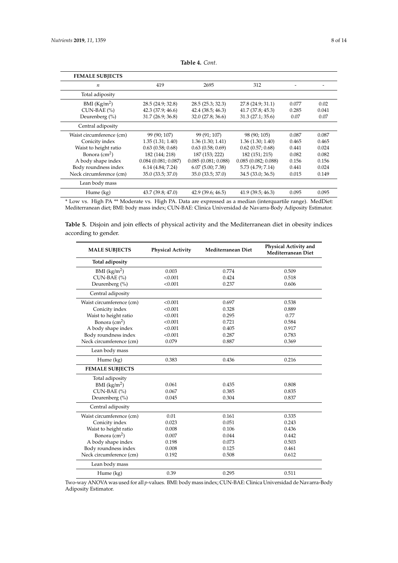<span id="page-7-0"></span>

| <b>FEMALE SUBJECTS</b>   |                       |                     |                     |       |       |
|--------------------------|-----------------------|---------------------|---------------------|-------|-------|
| $\boldsymbol{n}$         | 419                   | 2695                | 312                 |       |       |
| Total adiposity          |                       |                     |                     |       |       |
| BMI $(Kg/m2)$            | 28.5 (24.9; 32.8)     | 28.5 (25.3; 32.3)   | 27.8 (24.9; 31.1)   | 0.077 | 0.02  |
| $CUN-BAE (%)$            | 42.3 (37.9; 46.6)     | 42.4(38.5; 46.3)    | 41.7(37.8; 45.3)    | 0.285 | 0.041 |
| Deurenberg (%)           | 31.7 (26.9; 36.8)     | 32.0 (27.8; 36.6)   | 31.3(27.1; 35.6)    | 0.07  | 0.07  |
| Central adiposity        |                       |                     |                     |       |       |
| Waist circumference (cm) | 99 (90; 107)          | 99 (91; 107)        | 98 (90; 105)        | 0.087 | 0.087 |
| Conicity index           | 1.35(1.31; 1.40)      | 1.36(1.30; 1.41)    | 1.36(1.30; 1.40)    | 0.465 | 0.465 |
| Waist to height ratio    | 0.63(0.58; 0.68)      | 0.63(0.58; 0.69)    | 0.62(0.57; 0.68)    | 0.441 | 0.024 |
| Bonora $\text{cm}^2$ )   | 182 (144; 218)        | 187 (153; 222)      | 182 (151; 215)      | 0.082 | 0.082 |
| A body shape index       | 0.084(0.081; 0.087)   | 0.085(0.081; 0.088) | 0.085(0.082; 0.088) | 0.156 | 0.156 |
| Body roundness index     | $6.14$ $(4.84; 7.24)$ | 6.07(5.00; 7.38)    | 5.73 (4.79; 7.14)   | 0.441 | 0.024 |
| Neck circumference (cm)  | 35.0 (33.5; 37.0)     | 35.0 (33.5; 37.0)   | 34.5(33.0; 36.5)    | 0.015 | 0.149 |
| Lean body mass           |                       |                     |                     |       |       |
| Hume (kg)                | 43.7 (39.8; 47.0)     | 42.9(39.6; 46.5)    | 41.9 (39.5; 46.3)   | 0.095 | 0.095 |

\* Low vs. High PA \*\* Moderate vs. High PA. Data are expressed as a median (interquartile range). MedDiet: Mediterranean diet; BMI: body mass index; CUN-BAE: Clinica Universidad de Navarra-Body Adiposity Estimator.

<span id="page-7-1"></span>**Table 5.** Disjoin and join effects of physical activity and the Mediterranean diet in obesity indices according to gender.

| <b>MALE SUBJECTS</b>     | <b>Physical Activity</b> | Mediterranean Diet | Physical Activity and<br>Mediterranean Diet |
|--------------------------|--------------------------|--------------------|---------------------------------------------|
| Total adiposity          |                          |                    |                                             |
| BMI (kg/m <sup>2</sup> ) | 0.003                    | 0.774              | 0.509                                       |
| CUN-BAE (%)              | < 0.001                  | 0.424              | 0.518                                       |
| Deurenberg (%)           | < 0.001                  | 0.237              | 0.606                                       |
| Central adiposity        |                          |                    |                                             |
| Waist circumference (cm) | < 0.001                  | 0.697              | 0.538                                       |
| Conicity index           | < 0.001                  | 0.328              | 0.889                                       |
| Waist to height ratio    | < 0.001                  | 0.295              | 0.77                                        |
| Bonora $(cm2)$           | < 0.001                  | 0.721              | 0.584                                       |
| A body shape index       | < 0.001                  | 0.405              | 0.917                                       |
| Body roundness index     | < 0.001                  | 0.287              | 0.783                                       |
| Neck circumference (cm)  | 0.079                    | 0.887              | 0.369                                       |
| Lean body mass           |                          |                    |                                             |
| Hume (kg)                | 0.383                    | 0.436              | 0.216                                       |
| <b>FEMALE SUBJECTS</b>   |                          |                    |                                             |
| Total adiposity          |                          |                    |                                             |
| BMI $(kg/m2)$            | 0.061                    | 0.435              | 0.808                                       |
| CUN-BAE (%)              | 0.067                    | 0.385              | 0.835                                       |
| Deurenberg (%)           | 0.045                    | 0.304              | 0.837                                       |
| Central adiposity        |                          |                    |                                             |
| Waist circumference (cm) | 0.01                     | 0.161              | 0.335                                       |
| Conicity index           | 0.023                    | 0.051              | 0.243                                       |
| Waist to height ratio    | 0.008                    | 0.106              | 0.436                                       |
| Bonora $(cm2)$           | 0.007                    | 0.044              | 0.442                                       |
| A body shape index       | 0.198                    | 0.073              | 0.503                                       |
| Body roundness index     | 0.008                    | 0.125              | 0.461                                       |
| Neck circumference (cm)  | 0.192                    | 0.508              | 0.612                                       |
| Lean body mass           |                          |                    |                                             |
| Hume (kg)                | 0.39                     | 0.295              | 0.511                                       |

Two-way ANOVA was used for all *p*-values. BMI: body mass index; CUN-BAE: Clinica Universidad de Navarra-Body Adiposity Estimator.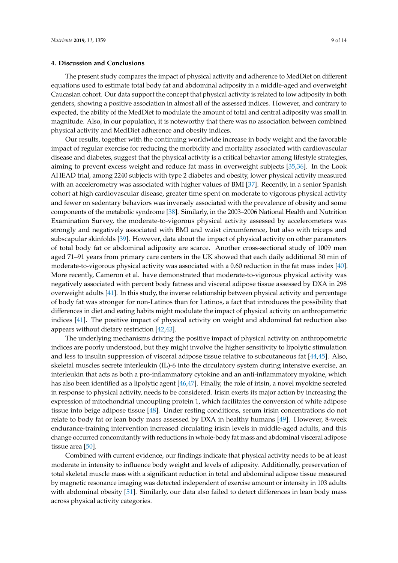#### **4. Discussion and Conclusions**

The present study compares the impact of physical activity and adherence to MedDiet on different equations used to estimate total body fat and abdominal adiposity in a middle-aged and overweight Caucasian cohort. Our data support the concept that physical activity is related to low adiposity in both genders, showing a positive association in almost all of the assessed indices. However, and contrary to expected, the ability of the MedDiet to modulate the amount of total and central adiposity was small in magnitude. Also, in our population, it is noteworthy that there was no association between combined physical activity and MedDiet adherence and obesity indices.

Our results, together with the continuing worldwide increase in body weight and the favorable impact of regular exercise for reducing the morbidity and mortality associated with cardiovascular disease and diabetes, suggest that the physical activity is a critical behavior among lifestyle strategies, aiming to prevent excess weight and reduce fat mass in overweight subjects [\[35,](#page-12-6)[36\]](#page-12-7). In the Look AHEAD trial, among 2240 subjects with type 2 diabetes and obesity, lower physical activity measured with an accelerometry was associated with higher values of BMI [\[37\]](#page-12-8). Recently, in a senior Spanish cohort at high cardiovascular disease, greater time spent on moderate to vigorous physical activity and fewer on sedentary behaviors was inversely associated with the prevalence of obesity and some components of the metabolic syndrome [\[38\]](#page-12-9). Similarly, in the 2003–2006 National Health and Nutrition Examination Survey, the moderate-to-vigorous physical activity assessed by accelerometers was strongly and negatively associated with BMI and waist circumference, but also with triceps and subscapular skinfolds [\[39\]](#page-12-10). However, data about the impact of physical activity on other parameters of total body fat or abdominal adiposity are scarce. Another cross-sectional study of 1009 men aged 71–91 years from primary care centers in the UK showed that each daily additional 30 min of moderate-to-vigorous physical activity was associated with a 0.60 reduction in the fat mass index [\[40\]](#page-12-11). More recently, Cameron et al. have demonstrated that moderate-to-vigorous physical activity was negatively associated with percent body fatness and visceral adipose tissue assessed by DXA in 298 overweight adults [\[41\]](#page-12-12). In this study, the inverse relationship between physical activity and percentage of body fat was stronger for non-Latinos than for Latinos, a fact that introduces the possibility that differences in diet and eating habits might modulate the impact of physical activity on anthropometric indices [\[41\]](#page-12-12). The positive impact of physical activity on weight and abdominal fat reduction also appears without dietary restriction [\[42,](#page-12-13)[43\]](#page-12-14).

The underlying mechanisms driving the positive impact of physical activity on anthropometric indices are poorly understood, but they might involve the higher sensitivity to lipolytic stimulation and less to insulin suppression of visceral adipose tissue relative to subcutaneous fat [\[44,](#page-12-15)[45\]](#page-12-16). Also, skeletal muscles secrete interleukin (IL)-6 into the circulatory system during intensive exercise, an interleukin that acts as both a pro-inflammatory cytokine and an anti-inflammatory myokine, which has also been identified as a lipolytic agent [\[46,](#page-12-17)[47\]](#page-12-18). Finally, the role of irisin, a novel myokine secreted in response to physical activity, needs to be considered. Irisin exerts its major action by increasing the expression of mitochondrial uncoupling protein 1, which facilitates the conversion of white adipose tissue into beige adipose tissue [\[48\]](#page-13-0). Under resting conditions, serum irisin concentrations do not relate to body fat or lean body mass assessed by DXA in healthy humans [\[49\]](#page-13-1). However, 8-week endurance-training intervention increased circulating irisin levels in middle-aged adults, and this change occurred concomitantly with reductions in whole-body fat mass and abdominal visceral adipose tissue area [\[50\]](#page-13-2).

Combined with current evidence, our findings indicate that physical activity needs to be at least moderate in intensity to influence body weight and levels of adiposity. Additionally, preservation of total skeletal muscle mass with a significant reduction in total and abdominal adipose tissue measured by magnetic resonance imaging was detected independent of exercise amount or intensity in 103 adults with abdominal obesity [\[51\]](#page-13-3). Similarly, our data also failed to detect differences in lean body mass across physical activity categories.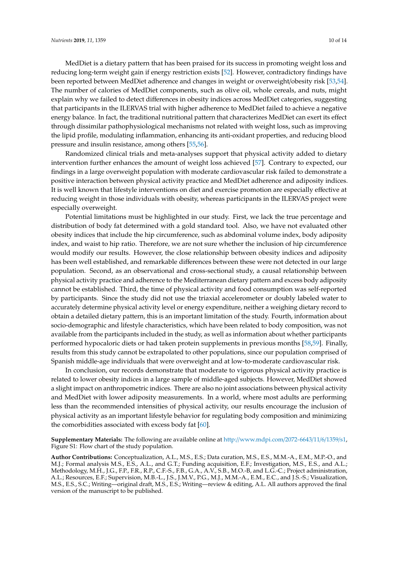MedDiet is a dietary pattern that has been praised for its success in promoting weight loss and reducing long-term weight gain if energy restriction exists [\[52\]](#page-13-4). However, contradictory findings have been reported between MedDiet adherence and changes in weight or overweight/obesity risk [\[53,](#page-13-5)[54\]](#page-13-6). The number of calories of MedDiet components, such as olive oil, whole cereals, and nuts, might explain why we failed to detect differences in obesity indices across MedDiet categories, suggesting that participants in the ILERVAS trial with higher adherence to MedDiet failed to achieve a negative energy balance. In fact, the traditional nutritional pattern that characterizes MedDiet can exert its effect through dissimilar pathophysiological mechanisms not related with weight loss, such as improving the lipid profile, modulating inflammation, enhancing its anti-oxidant properties, and reducing blood pressure and insulin resistance, among others [\[55](#page-13-7)[,56\]](#page-13-8).

Randomized clinical trials and meta-analyses support that physical activity added to dietary intervention further enhances the amount of weight loss achieved [\[57\]](#page-13-9). Contrary to expected, our findings in a large overweight population with moderate cardiovascular risk failed to demonstrate a positive interaction between physical activity practice and MedDiet adherence and adiposity indices. It is well known that lifestyle interventions on diet and exercise promotion are especially effective at reducing weight in those individuals with obesity, whereas participants in the ILERVAS project were especially overweight.

Potential limitations must be highlighted in our study. First, we lack the true percentage and distribution of body fat determined with a gold standard tool. Also, we have not evaluated other obesity indices that include the hip circumference, such as abdominal volume index, body adiposity index, and waist to hip ratio. Therefore, we are not sure whether the inclusion of hip circumference would modify our results. However, the close relationship between obesity indices and adiposity has been well established, and remarkable differences between these were not detected in our large population. Second, as an observational and cross-sectional study, a causal relationship between physical activity practice and adherence to the Mediterranean dietary pattern and excess body adiposity cannot be established. Third, the time of physical activity and food consumption was self-reported by participants. Since the study did not use the triaxial accelerometer or doubly labeled water to accurately determine physical activity level or energy expenditure, neither a weighing dietary record to obtain a detailed dietary pattern, this is an important limitation of the study. Fourth, information about socio-demographic and lifestyle characteristics, which have been related to body composition, was not available from the participants included in the study, as well as information about whether participants performed hypocaloric diets or had taken protein supplements in previous months [\[58,](#page-13-10)[59\]](#page-13-11). Finally, results from this study cannot be extrapolated to other populations, since our population comprised of Spanish middle-age individuals that were overweight and at low-to-moderate cardiovascular risk.

In conclusion, our records demonstrate that moderate to vigorous physical activity practice is related to lower obesity indices in a large sample of middle-aged subjects. However, MedDiet showed a slight impact on anthropometric indices. There are also no joint associations between physical activity and MedDiet with lower adiposity measurements. In a world, where most adults are performing less than the recommended intensities of physical activity, our results encourage the inclusion of physical activity as an important lifestyle behavior for regulating body composition and minimizing the comorbidities associated with excess body fat [\[60\]](#page-13-12).

**Supplementary Materials:** The following are available online at http://[www.mdpi.com](http://www.mdpi.com/2072-6643/11/6/1359/s1)/2072-6643/11/6/1359/s1, Figure S1: Flow chart of the study population.

**Author Contributions:** Conceptualization, A.L., M.S., E.S.; Data curation, M.S., E.S., M.M.-A., E.M., M.P.-O., and M.J.; Formal analysis M.S., E.S., A.L., and G.T.; Funding acquisition, E.F.; Investigation, M.S., E.S., and A.L.; Methodology, M.H., J.G., F.P., F.R., R.P., C.F.-S., F.B., G.A., A.V., S.B., M.O.-B, and L.G.-C.; Project administration, A.L.; Resources, E.F.; Supervision, M.B.-L., J.S., J.M.V., P.G., M.J., M.M.-A., E.M., E.C., and J.S.-S.; Visualization, M.S., E.S., S.C.; Writing—original draft, M.S., E.S.; Writing—review & editing, A.L. All authors approved the final version of the manuscript to be published.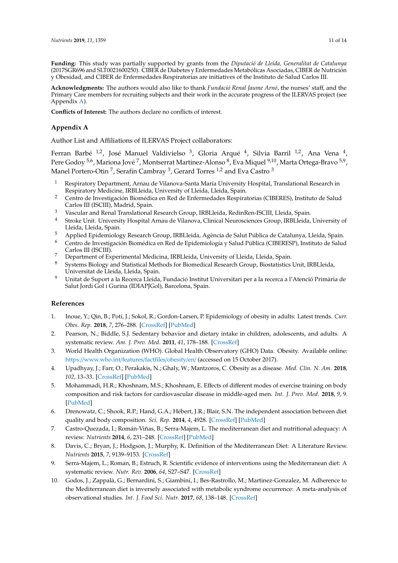**Funding:** This study was partially supported by grants from the *Diputació de Lleida, Generalitat de Catalunya* (2017SGR696 and SLT0021600250). CIBER de Diabetes y Enfermedades Metabólicas Asociadas, CIBER de Nutrición y Obesidad, and CIBER de Enfermedades Respiratorias are initiatives of the Instituto de Salud Carlos III.

**Acknowledgments:** The authors would also like to thank *Fundació Renal Jaume Arnó*, the nurses' staff, and the Primary Care members for recruiting subjects and their work in the accurate progress of the ILERVAS project (see Appendix [A\)](#page-10-9).

**Conflicts of Interest:** The authors declare no conflicts of interest.

# <span id="page-10-9"></span>**Appendix A**

Author List and Affiliations of ILERVAS Project collaborators:

Ferran Barbé <sup>1,2</sup>, José Manuel Valdivielso <sup>3</sup>, Gloria Arqué <sup>4</sup>, Silvia Barril <sup>1,2</sup>, Ana Vena <sup>4</sup>, Pere Godoy <sup>5,6</sup>, Mariona Jové <sup>7</sup>, Montserrat Martínez-Alonso <sup>8</sup>, Eva Miquel <sup>9,10</sup>, Marta Ortega-Bravo <sup>5,9</sup>, Manel Portero-Otin  $^7$ , Serafín Cambray  $^3$ , Gerard Torres  $^{1,2}$  and Eva Castro  $^3$ 

- <sup>1</sup> Respiratory Department, Arnau de Vilanova-Santa María University Hospital, Translational Research in Respiratory Medicine, IRBLleida, University of Lleida, Lleida, Spain.
- <sup>2</sup> Centro de Investigación Biomédica en Red de Enfermedades Respiratorias (CIBERES), Instituto de Salud Carlos III (ISCIII), Madrid, Spain.
- <sup>3</sup> Vascular and Renal Translational Research Group, IRBLleida, RedinRen-ISCIII, Lleida, Spain.
- <sup>4</sup> Stroke Unit. University Hospital Arnau de Vilanova, Clinical Neurosciences Group, IRBLleida, University of Lleida, Lleida, Spain.
- <sup>5</sup> Applied Epidemiology Research Group, IRBLleida, Agència de Salut Pública de Catalunya, Lleida, Spain.
- <sup>6</sup> Centro de Investigación Biomédica en Red de Epidemiología y Salud Pública (CIBERESP), Instituto de Salud Carlos III (ISCIII).
- $\frac{7}{8}$  Department of Experimental Medicina, IRBLleida, University of Lleida, Lleida, Spain.
- <sup>8</sup> Systems Biology and Statistical Methods for Biomedical Research Group, Biostatistics Unit, IRBLleida, Universitat de Lleida, Lleida, Spain.
- <sup>9</sup> Unitat de Suport a la Recerca Lleida, Fundació Institut Universitari per a la recerca a l'Atenció Primària de Salut Jordi Gol i Gurina (IDIAPJGol), Barcelona, Spain.

# **References**

- <span id="page-10-0"></span>1. Inoue, Y.; Qin, B.; Poti, J.; Sokol, R.; Gordon-Larsen, P. Epidemiology of obesity in adults: Latest trends. *Curr. Obes. Rep.* **2018**, *7*, 276–288. [\[CrossRef\]](http://dx.doi.org/10.1007/s13679-018-0317-8) [\[PubMed\]](http://www.ncbi.nlm.nih.gov/pubmed/30155850)
- <span id="page-10-1"></span>2. Pearson, N.; Biddle, S.J. Sedentary behavior and dietary intake in children, adolescents, and adults. A systematic review. *Am. J. Prev. Med.* **2011**, *41*, 178–188. [\[CrossRef\]](http://dx.doi.org/10.1016/j.amepre.2011.05.002)
- <span id="page-10-2"></span>3. World Health Organization (WHO). Global Health Observatory (GHO) Data. Obesity. Available online: https://[www.who.int](https://www.who.int/features/factfiles/obesity/en/)/features/factfiles/obesity/en/ (accessed on 15 October 2017).
- <span id="page-10-3"></span>4. Upadhyay, J.; Farr, O.; Perakakis, N.; Ghaly, W.; Mantzoros, C. Obesity as a disease. *Med. Clin. N. Am.* **2018**, *102*, 13–33. [\[CrossRef\]](http://dx.doi.org/10.1016/j.mcna.2017.08.004) [\[PubMed\]](http://www.ncbi.nlm.nih.gov/pubmed/29156181)
- <span id="page-10-4"></span>5. Mohammadi, H.R.; Khoshnam, M.S.; Khoshnam, E. Effects of different modes of exercise training on body composition and risk factors for cardiovascular disease in middle-aged men. *Int. J. Prev. Med.* **2018**, *9*, 9. [\[PubMed\]](http://www.ncbi.nlm.nih.gov/pubmed/29441186)
- <span id="page-10-5"></span>6. Drenowatz, C.; Shook, R.P.; Hand, G.A.; Hébert, J.R.; Blair, S.N. The independent association between diet quality and body composition. *Sci. Rep.* **2014**, *4*, 4928. [\[CrossRef\]](http://dx.doi.org/10.1038/srep04928) [\[PubMed\]](http://www.ncbi.nlm.nih.gov/pubmed/24816165)
- <span id="page-10-6"></span>7. Castro-Quezada, I.; Román-Viñas, B.; Serra-Majem, L. The mediterranean diet and nutritional adequacy: A review. *Nutrients* **2014**, *6*, 231–248. [\[CrossRef\]](http://dx.doi.org/10.3390/nu6010231) [\[PubMed\]](http://www.ncbi.nlm.nih.gov/pubmed/24394536)
- <span id="page-10-7"></span>8. Davis, C.; Bryan, J.; Hodgson, J.; Murphy, K. Definition of the Mediterranean Diet: A Literature Review. *Nutrients* **2015**, *7*, 9139–9153. [\[CrossRef\]](http://dx.doi.org/10.3390/nu7115459)
- <span id="page-10-8"></span>9. Serra-Majem, L.; Roman, B.; Estruch, R. Scientific evidence of interventions using the Mediterranean diet: A systematic review. *Nutr. Rev.* **2006**, *64*, S27–S47. [\[CrossRef\]](http://dx.doi.org/10.1111/j.1753-4887.2006.tb00232.x)
- 10. Godos, J.; Zappalà, G.; Bernardini, S.; Giambini, I.; Bes-Rastrollo, M.; Martinez-Gonzalez, M. Adherence to the Mediterranean diet is inversely associated with metabolic syndrome occurrence: A meta-analysis of observational studies. *Int. J. Food Sci. Nutr.* **2017**, *68*, 138–148. [\[CrossRef\]](http://dx.doi.org/10.1080/09637486.2016.1221900)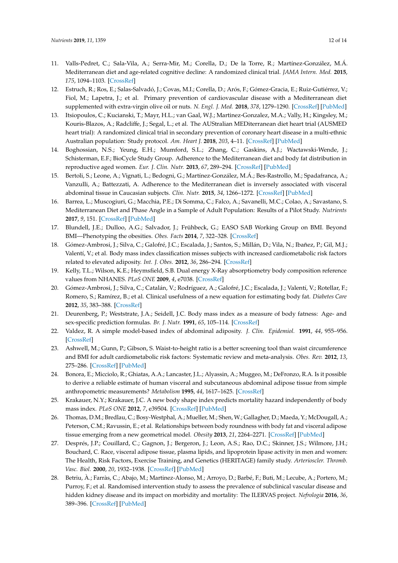- <span id="page-11-0"></span>11. Valls-Pedret, C.; Sala-Vila, A.; Serra-Mir, M.; Corella, D.; De la Torre, R.; Martínez-González, M.Á. Mediterranean diet and age-related cognitive decline: A randomized clinical trial. *JAMA Intern. Med.* **2015**, *175*, 1094–1103. [\[CrossRef\]](http://dx.doi.org/10.1001/jamainternmed.2015.1668)
- <span id="page-11-1"></span>12. Estruch, R.; Ros, E.; Salas-Salvadó, J.; Covas, M.I.; Corella, D.; Arós, F.; Gómez-Gracia, E.; Ruiz-Gutiérrez, V.; Fiol, M.; Lapetra, J.; et al. Primary prevention of cardiovascular disease with a Mediterranean diet supplemented with extra-virgin olive oil or nuts. *N. Engl. J. Med.* **2018**, *378*, 1279–1290. [\[CrossRef\]](http://dx.doi.org/10.1056/NEJMoa1800389) [\[PubMed\]](http://www.ncbi.nlm.nih.gov/pubmed/29897866)
- <span id="page-11-2"></span>13. Itsiopoulos, C.; Kucianski, T.; Mayr, H.L.; van Gaal, W.J.; Martinez-Gonzalez, M.A.; Vally, H.; Kingsley, M.; Kouris-Blazos, A.; Radcliffe, J.; Segal, L.; et al. The AUStralian MEDiterranean diet heart trial (AUSMED heart trial): A randomized clinical trial in secondary prevention of coronary heart disease in a multi-ethnic Australian population: Study protocol. *Am. Heart J.* **2018**, *203*, 4–11. [\[CrossRef\]](http://dx.doi.org/10.1016/j.ahj.2018.05.010) [\[PubMed\]](http://www.ncbi.nlm.nih.gov/pubmed/29966802)
- <span id="page-11-3"></span>14. Boghossian, N.S.; Yeung, E.H.; Mumford, S.L.; Zhang, C.; Gaskins, A.J.; Wactawski-Wende, J.; Schisterman, E.F.; BioCycle Study Group. Adherence to the Mediterranean diet and body fat distribution in reproductive aged women. *Eur. J. Clin. Nutr.* **2013**, *67*, 289–294. [\[CrossRef\]](http://dx.doi.org/10.1038/ejcn.2013.4) [\[PubMed\]](http://www.ncbi.nlm.nih.gov/pubmed/23388669)
- <span id="page-11-4"></span>15. Bertoli, S.; Leone, A.; Vignati, L.; Bedogni, G.; Martínez-González, M.Á.; Bes-Rastrollo, M.; Spadafranca, A.; Vanzulli, A.; Battezzati, A. Adherence to the Mediterranean diet is inversely associated with visceral abdominal tissue in Caucasian subjects. *Clin. Nutr.* **2015**, *34*, 1266–1272. [\[CrossRef\]](http://dx.doi.org/10.1016/j.clnu.2015.10.003) [\[PubMed\]](http://www.ncbi.nlm.nih.gov/pubmed/26499033)
- <span id="page-11-5"></span>16. Barrea, L.; Muscogiuri, G.; Macchia, P.E.; Di Somma, C.; Falco, A.; Savanelli, M.C.; Colao, A.; Savastano, S. Mediterranean Diet and Phase Angle in a Sample of Adult Population: Results of a Pilot Study. *Nutrients* **2017**, *9*, 151. [\[CrossRef\]](http://dx.doi.org/10.3390/nu9020151) [\[PubMed\]](http://www.ncbi.nlm.nih.gov/pubmed/28218645)
- <span id="page-11-6"></span>17. Blundell, J.E.; Dulloo, A.G.; Salvador, J.; Frühbeck, G.; EASO SAB Working Group on BMI. Beyond BMI—Phenotyping the obesities. *Obes. Facts* **2014**, *7*, 322–328. [\[CrossRef\]](http://dx.doi.org/10.1159/000368783)
- <span id="page-11-7"></span>18. Gómez-Ambrosi, J.; Silva, C.; Galofré, J.C.; Escalada, J.; Santos, S.; Millán, D.; Vila, N.; Ibañez, P.; Gil, M.J.; Valentí, V.; et al. Body mass index classification misses subjects with increased cardiometabolic risk factors related to elevated adiposity. *Int. J. Obes.* **2012**, *36*, 286–294. [\[CrossRef\]](http://dx.doi.org/10.1038/ijo.2011.100)
- <span id="page-11-8"></span>19. Kelly, T.L.; Wilson, K.E.; Heymsfield, S.B. Dual energy X-Ray absorptiometry body composition reference values from NHANES. *PLoS ONE* **2009**, *4*, e7038. [\[CrossRef\]](http://dx.doi.org/10.1371/journal.pone.0007038)
- <span id="page-11-9"></span>20. Gómez-Ambrosi, J.; Silva, C.; Catalán, V.; Rodríguez, A.; Galofré, J.C.; Escalada, J.; Valentí, V.; Rotellar, F.; Romero, S.; Ramírez, B.; et al. Clinical usefulness of a new equation for estimating body fat. *Diabetes Care* **2012**, *35*, 383–388. [\[CrossRef\]](http://dx.doi.org/10.2337/dc11-1334)
- <span id="page-11-13"></span>21. Deurenberg, P.; Weststrate, J.A.; Seidell, J.C. Body mass index as a measure of body fatness: Age- and sex-specific prediction formulas. *Br. J. Nutr.* **1991**, *65*, 105–114. [\[CrossRef\]](http://dx.doi.org/10.1079/BJN19910073)
- <span id="page-11-14"></span>22. Valdez, R. A simple model-based index of abdominal adiposity. *J. Clin. Epidemiol.* **1991**, *44*, 955–956. [\[CrossRef\]](http://dx.doi.org/10.1016/0895-4356(91)90059-I)
- <span id="page-11-15"></span>23. Ashwell, M.; Gunn, P.; Gibson, S. Waist-to-height ratio is a better screening tool than waist circumference and BMI for adult cardiometabolic risk factors: Systematic review and meta-analysis. *Obes. Rev.* **2012**, *13*, 275–286. [\[CrossRef\]](http://dx.doi.org/10.1111/j.1467-789X.2011.00952.x) [\[PubMed\]](http://www.ncbi.nlm.nih.gov/pubmed/22106927)
- <span id="page-11-16"></span>24. Bonora, E.; Micciolo, R.; Ghiatas, A.A.; Lancaster, J.L.; Alyassin, A.; Muggeo, M.; DeFronzo, R.A. Is it possible to derive a reliable estimate of human visceral and subcutaneous abdominal adipose tissue from simple anthropometric measurements? *Metabolism* **1995**, *44*, 1617–1625. [\[CrossRef\]](http://dx.doi.org/10.1016/0026-0495(95)90084-5)
- <span id="page-11-17"></span>25. Krakauer, N.Y.; Krakauer, J.C. A new body shape index predicts mortality hazard independently of body mass index. *PLoS ONE* **2012**, *7*, e39504. [\[CrossRef\]](http://dx.doi.org/10.1371/journal.pone.0039504) [\[PubMed\]](http://www.ncbi.nlm.nih.gov/pubmed/22815707)
- <span id="page-11-10"></span>26. Thomas, D.M.; Bredlau, C.; Bosy-Westphal, A.; Mueller, M.; Shen, W.; Gallagher, D.; Maeda, Y.; McDougall, A.; Peterson, C.M.; Ravussin, E.; et al. Relationships between body roundness with body fat and visceral adipose tissue emerging from a new geometrical model. *Obesity* **2013**, *21*, 2264–2271. [\[CrossRef\]](http://dx.doi.org/10.1002/oby.20408) [\[PubMed\]](http://www.ncbi.nlm.nih.gov/pubmed/23519954)
- <span id="page-11-11"></span>27. Després, J.P.; Couillard, C.; Gagnon, J.; Bergeron, J.; Leon, A.S.; Rao, D.C.; Skinner, J.S.; Wilmore, J.H.; Bouchard, C. Race, visceral adipose tissue, plasma lipids, and lipoprotein lipase activity in men and women: The Health, Risk Factors, Exercise Training, and Genetics (HERITAGE) family study. *Arterioscler. Thromb. Vasc. Biol.* **2000**, *20*, 1932–1938. [\[CrossRef\]](http://dx.doi.org/10.1161/01.ATV.20.8.1932) [\[PubMed\]](http://www.ncbi.nlm.nih.gov/pubmed/10938014)
- <span id="page-11-12"></span>28. Betriu, À.; Farràs, C.; Abajo, M.; Martinez-Alonso, M.; Arroyo, D.; Barbé, F.; Buti, M.; Lecube, A.; Portero, M.; Purroy, F.; et al. Randomised intervention study to assess the prevalence of subclinical vascular disease and hidden kidney disease and its impact on morbidity and mortality: The ILERVAS project. *Nefrologia* **2016**, *36*, 389–396. [\[CrossRef\]](http://dx.doi.org/10.1016/j.nefro.2016.02.008) [\[PubMed\]](http://www.ncbi.nlm.nih.gov/pubmed/27044887)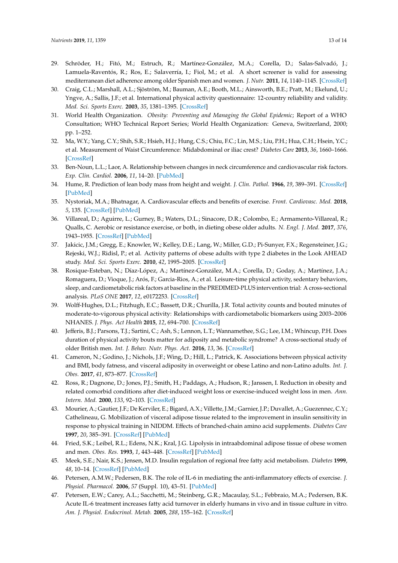- <span id="page-12-0"></span>29. Schröder, H.; Fitó, M.; Estruch, R.; Martínez-González, M.A.; Corella, D.; Salas-Salvadó, J.; Lamuela-Raventós, R.; Ros, E.; Salaverría, I.; Fiol, M.; et al. A short screener is valid for assessing mediterranean diet adherence among older Spanish men and women. *J. Nutr.* **2011**, *14*, 1140–1145. [\[CrossRef\]](http://dx.doi.org/10.3945/jn.110.135566)
- <span id="page-12-1"></span>30. Craig, C.L.; Marshall, A.L.; Sjöström, M.; Bauman, A.E.; Booth, M.L.; Ainsworth, B.E.; Pratt, M.; Ekelund, U.; Yngve, A.; Sallis, J.F.; et al. International physical activity questionnaire: 12-country reliability and validity. *Med. Sci. Sports Exerc.* **2003**, *35*, 1381–1395. [\[CrossRef\]](http://dx.doi.org/10.1249/01.MSS.0000078924.61453.FB)
- <span id="page-12-2"></span>31. World Health Organization. *Obesity: Preventing and Managing the Global Epidemic*; Report of a WHO Consultation; WHO Technical Report Series; World Health Organization: Geneva, Switzerland, 2000; pp. 1–252.
- <span id="page-12-3"></span>32. Ma, W.Y.; Yang, C.Y.; Shih, S.R.; Hsieh, H.J.; Hung, C.S.; Chiu, F.C.; Lin, M.S.; Liu, P.H.; Hua, C.H.; Hsein, Y.C.; et al. Measurement of Waist Circumference: Midabdominal or iliac crest? *Diabetes Care* **2013**, *36*, 1660–1666. [\[CrossRef\]](http://dx.doi.org/10.2337/dc12-1452)
- <span id="page-12-4"></span>33. Ben-Noun, L.L.; Laor, A. Relationship between changes in neck circumference and cardiovascular risk factors. *Exp. Clin. Cardiol.* **2006**, *11*, 14–20. [\[PubMed\]](http://www.ncbi.nlm.nih.gov/pubmed/18651013)
- <span id="page-12-5"></span>34. Hume, R. Prediction of lean body mass from height and weight. *J. Clin. Pathol.* **1966**, *19*, 389–391. [\[CrossRef\]](http://dx.doi.org/10.1136/jcp.19.4.389) [\[PubMed\]](http://www.ncbi.nlm.nih.gov/pubmed/5929341)
- <span id="page-12-6"></span>35. Nystoriak, M.A.; Bhatnagar, A. Cardiovascular effects and benefits of exercise. *Front. Cardiovasc. Med.* **2018**, *5*, 135. [\[CrossRef\]](http://dx.doi.org/10.3389/fcvm.2018.00135) [\[PubMed\]](http://www.ncbi.nlm.nih.gov/pubmed/30324108)
- <span id="page-12-7"></span>36. Villareal, D.; Aguirre, L.; Gurney, B.; Waters, D.L.; Sinacore, D.R.; Colombo, E.; Armamento-Villareal, R.; Qualls, C. Aerobic or resistance exercise, or both, in dieting obese older adults. *N. Engl. J. Med.* **2017**, *376*, 1943–1955. [\[CrossRef\]](http://dx.doi.org/10.1056/NEJMoa1616338) [\[PubMed\]](http://www.ncbi.nlm.nih.gov/pubmed/28514618)
- <span id="page-12-8"></span>37. Jakicic, J.M.; Gregg, E.; Knowler, W.; Kelley, D.E.; Lang, W.; Miller, G.D.; Pi-Sunyer, F.X.; Regensteiner, J.G.; Rejeski, W.J.; Ridisl, P.; et al. Activity patterns of obese adults with type 2 diabetes in the Look AHEAD study. *Med. Sci. Sports Exerc.* **2010**, *42*, 1995–2005. [\[CrossRef\]](http://dx.doi.org/10.1249/MSS.0b013e3181e054f0)
- <span id="page-12-9"></span>38. Rosique-Esteban, N.; Díaz-López, A.; Martínez-González, M.A.; Corella, D.; Goday, A.; Martínez, J.A.; Romaguera, D.; Vioque, J.; Arós, F.; Garcia-Rios, A.; et al. Leisure-time physical activity, sedentary behaviors, sleep, and cardiometabolic risk factors at baseline in the PREDIMED-PLUS intervention trial: A cross-sectional analysis. *PLoS ONE* **2017**, *12*, e0172253. [\[CrossRef\]](http://dx.doi.org/10.1371/journal.pone.0172253)
- <span id="page-12-10"></span>39. Wolff-Hughes, D.L.; Fitzhugh, E.C.; Bassett, D.R.; Churilla, J.R. Total activity counts and bouted minutes of moderate-to-vigorous physical activity: Relationships with cardiometabolic biomarkers using 2003–2006 NHANES. *J. Phys. Act Health* **2015**, *12*, 694–700. [\[CrossRef\]](http://dx.doi.org/10.1123/jpah.2013-0463)
- <span id="page-12-11"></span>40. Jefferis, B.J.; Parsons, T.J.; Sartini, C.; Ash, S.; Lennon, L.T.; Wannamethee, S.G.; Lee, I.M.; Whincup, P.H. Does duration of physical activity bouts matter for adiposity and metabolic syndrome? A cross-sectional study of older British men. *Int. J. Behav. Nutr. Phys. Act.* **2016**, *13*, 36. [\[CrossRef\]](http://dx.doi.org/10.1186/s12966-016-0361-2)
- <span id="page-12-12"></span>41. Cameron, N.; Godino, J.; Nichols, J.F.; Wing, D.; Hill, L.; Patrick, K. Associations between physical activity and BMI, body fatness, and visceral adiposity in overweight or obese Latino and non-Latino adults. *Int. J. Obes.* **2017**, *41*, 873–877. [\[CrossRef\]](http://dx.doi.org/10.1038/ijo.2017.49)
- <span id="page-12-13"></span>42. Ross, R.; Dagnone, D.; Jones, P.J.; Smith, H.; Paddags, A.; Hudson, R.; Janssen, I. Reduction in obesity and related comorbid conditions after diet-induced weight loss or exercise-induced weight loss in men. *Ann. Intern. Med.* **2000**, *133*, 92–103. [\[CrossRef\]](http://dx.doi.org/10.7326/0003-4819-133-2-200007180-00008)
- <span id="page-12-14"></span>43. Mourier, A.; Gautier, J.F.; De Kerviler, E.; Bigard, A.X.; Villette, J.M.; Garnier, J.P.; Duvallet, A.; Guezennec, C.Y.; Cathelineau, G. Mobilization of visceral adipose tissue related to the improvement in insulin sensitivity in response to physical training in NIDDM. Effects of branched-chain amino acid supplements. *Diabetes Care* **1997**, *20*, 385–391. [\[CrossRef\]](http://dx.doi.org/10.2337/diacare.20.3.385) [\[PubMed\]](http://www.ncbi.nlm.nih.gov/pubmed/9051392)
- <span id="page-12-15"></span>44. Fried, S.K.; Leibel, R.L.; Edens, N.K.; Kral, J.G. Lipolysis in intraabdominal adipose tissue of obese women and men. *Obes. Res.* **1993**, *1*, 443–448. [\[CrossRef\]](http://dx.doi.org/10.1002/j.1550-8528.1993.tb00026.x) [\[PubMed\]](http://www.ncbi.nlm.nih.gov/pubmed/16353332)
- <span id="page-12-16"></span>45. Meek, S.E.; Nair, K.S.; Jensen, M.D. Insulin regulation of regional free fatty acid metabolism. *Diabetes* **1999**, *48*, 10–14. [\[CrossRef\]](http://dx.doi.org/10.2337/diabetes.48.1.10) [\[PubMed\]](http://www.ncbi.nlm.nih.gov/pubmed/9892216)
- <span id="page-12-17"></span>46. Petersen, A.M.W.; Pedersen, B.K. The role of IL-6 in mediating the anti-inflammatory effects of exercise. *J. Physiol. Pharmacol.* **2006**, *57* (Suppl. 10), 43–51. [\[PubMed\]](http://www.ncbi.nlm.nih.gov/pubmed/17242490)
- <span id="page-12-18"></span>47. Petersen, E.W.; Carey, A.L.; Sacchetti, M.; Steinberg, G.R.; Macaulay, S.L.; Febbraio, M.A.; Pedersen, B.K. Acute IL-6 treatment increases fatty acid turnover in elderly humans in vivo and in tissue culture in vitro. *Am. J. Physiol. Endocrinol. Metab.* **2005**, *288*, 155–162. [\[CrossRef\]](http://dx.doi.org/10.1152/ajpendo.00257.2004)